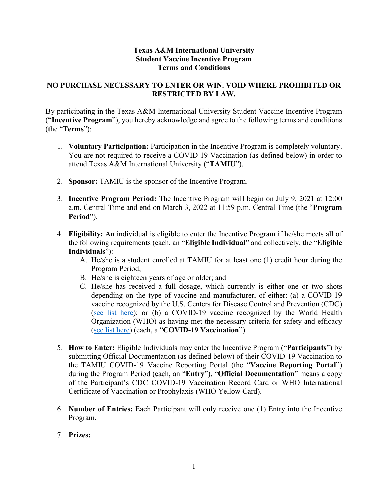## **Texas A&M International University Student Vaccine Incentive Program Terms and Conditions**

## **NO PURCHASE NECESSARY TO ENTER OR WIN. VOID WHERE PROHIBITED OR RESTRICTED BY LAW.**

By participating in the Texas A&M International University Student Vaccine Incentive Program ("**Incentive Program**"), you hereby acknowledge and agree to the following terms and conditions (the "**Terms**"):

- 1. **Voluntary Participation:** Participation in the Incentive Program is completely voluntary. You are not required to receive a COVID-19 Vaccination (as defined below) in order to attend Texas A&M International University ("**TAMIU**").
- 2. **Sponsor:** TAMIU is the sponsor of the Incentive Program.
- 3. **Incentive Program Period:** The Incentive Program will begin on July 9, 2021 at 12:00 a.m. Central Time and end on March 3, 2022 at 11:59 p.m. Central Time (the "**Program Period**").
- 4. **Eligibility:** An individual is eligible to enter the Incentive Program if he/she meets all of the following requirements (each, an "**Eligible Individual**" and collectively, the "**Eligible Individuals**"):
	- A. He/she is a student enrolled at TAMIU for at least one (1) credit hour during the Program Period;
	- B. He/she is eighteen years of age or older; and
	- C. He/she has received a full dosage, which currently is either one or two shots depending on the type of vaccine and manufacturer, of either: (a) a COVID-19 vaccine recognized by the U.S. Centers for Disease Control and Prevention (CDC) [\(see list here\)](https://www.cdc.gov/coronavirus/2019-ncov/vaccines/different-vaccines.html); or (b) a COVID-19 vaccine recognized by the World Health Organization (WHO) as having met the necessary criteria for safety and efficacy [\(see list here\)](https://www.who.int/emergencies/diseases/novel-coronavirus-2019/covid-19-vaccines/advice) (each, a "**COVID-19 Vaccination**").
- 5. **How to Enter:** Eligible Individuals may enter the Incentive Program ("**Participants**") by submitting Official Documentation (as defined below) of their COVID-19 Vaccination to the TAMIU COVID-19 Vaccine Reporting Portal (the "**Vaccine Reporting Portal**") during the Program Period (each, an "**Entry**"). "**Official Documentation**" means a copy of the Participant's CDC COVID-19 Vaccination Record Card or WHO International Certificate of Vaccination or Prophylaxis (WHO Yellow Card).
- 6. **Number of Entries:** Each Participant will only receive one (1) Entry into the Incentive Program.
- 7. **Prizes:**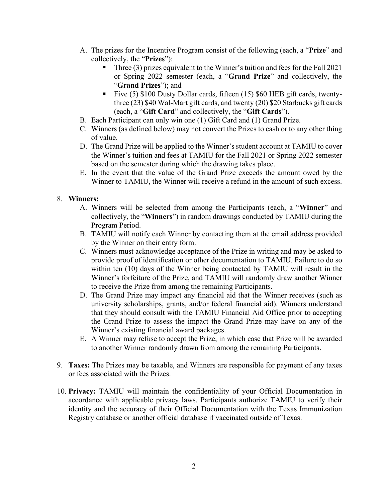- A. The prizes for the Incentive Program consist of the following (each, a "**Prize**" and collectively, the "**Prizes**"):
	- Three (3) prizes equivalent to the Winner's tuition and fees for the Fall 2021 or Spring 2022 semester (each, a "**Grand Prize**" and collectively, the "**Grand Prizes**"); and
	- Five  $(5)$  \$100 Dusty Dollar cards, fifteen  $(15)$  \$60 HEB gift cards, twentythree (23) \$40 Wal-Mart gift cards, and twenty (20) \$20 Starbucks gift cards (each, a "**Gift Card**" and collectively, the "**Gift Cards**").
- B. Each Participant can only win one (1) Gift Card and (1) Grand Prize.
- C. Winners (as defined below) may not convert the Prizes to cash or to any other thing of value.
- D. The Grand Prize will be applied to the Winner's student account at TAMIU to cover the Winner's tuition and fees at TAMIU for the Fall 2021 or Spring 2022 semester based on the semester during which the drawing takes place.
- E. In the event that the value of the Grand Prize exceeds the amount owed by the Winner to TAMIU, the Winner will receive a refund in the amount of such excess.

## 8. **Winners:**

- A. Winners will be selected from among the Participants (each, a "**Winner**" and collectively, the "**Winners**") in random drawings conducted by TAMIU during the Program Period.
- B. TAMIU will notify each Winner by contacting them at the email address provided by the Winner on their entry form.
- C. Winners must acknowledge acceptance of the Prize in writing and may be asked to provide proof of identification or other documentation to TAMIU. Failure to do so within ten (10) days of the Winner being contacted by TAMIU will result in the Winner's forfeiture of the Prize, and TAMIU will randomly draw another Winner to receive the Prize from among the remaining Participants.
- D. The Grand Prize may impact any financial aid that the Winner receives (such as university scholarships, grants, and/or federal financial aid). Winners understand that they should consult with the TAMIU Financial Aid Office prior to accepting the Grand Prize to assess the impact the Grand Prize may have on any of the Winner's existing financial award packages.
- E. A Winner may refuse to accept the Prize, in which case that Prize will be awarded to another Winner randomly drawn from among the remaining Participants.
- 9. **Taxes:** The Prizes may be taxable, and Winners are responsible for payment of any taxes or fees associated with the Prizes.
- 10. **Privacy:** TAMIU will maintain the confidentiality of your Official Documentation in accordance with applicable privacy laws. Participants authorize TAMIU to verify their identity and the accuracy of their Official Documentation with the Texas Immunization Registry database or another official database if vaccinated outside of Texas.